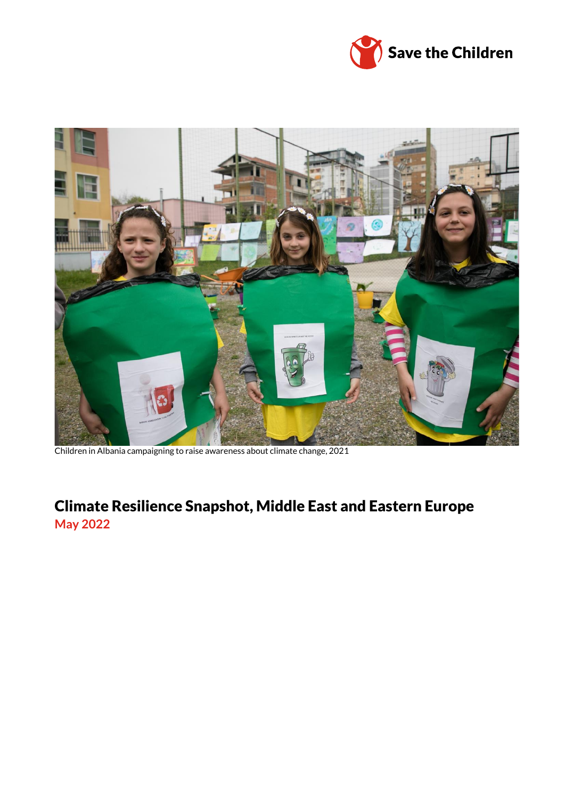



Children in Albania campaigning to raise awareness about climate change, 2021

## Climate Resilience Snapshot, Middle East and Eastern Europe **May 2022**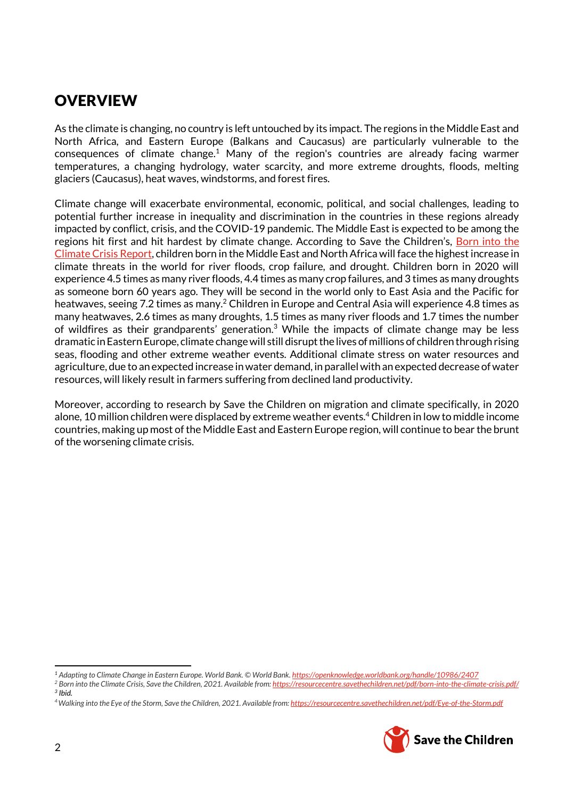## **OVERVIEW**

As the climate is changing, no country is left untouched by its impact. The regions in the Middle East and North Africa, and Eastern Europe (Balkans and Caucasus) are particularly vulnerable to the consequences of climate change.<sup>1</sup> Many of the region's countries are already facing warmer temperatures, a changing hydrology, water scarcity, and more extreme droughts, floods, melting glaciers (Caucasus), heat waves, windstorms, and forest fires.

Climate change will exacerbate environmental, economic, political, and social challenges, leading to potential further increase in inequality and discrimination in the countries in these regions already impacted by conflict, crisis, and the COVID-19 pandemic. The Middle East is expected to be among the regions hit first and hit hardest by climate change. According to Save the Children's, Born into the [Climate Crisis](https://resourcecentre.savethechildren.net/pdf/born-into-the-climate-crisis.pdf/) Report, children born in the Middle East and North Africa will face the highest increase in climate threats in the world for river floods, crop failure, and drought. Children born in 2020 will experience 4.5 times as many river floods, 4.4 times as many crop failures, and 3 times as many droughts as someone born 60 years ago. They will be second in the world only to East Asia and the Pacific for heatwaves, seeing 7.2 times as many.<sup>2</sup> Children in Europe and Central Asia will experience 4.8 times as many heatwaves, 2.6 times as many droughts, 1.5 times as many river floods and 1.7 times the number of wildfires as their grandparents' generation.<sup>3</sup> While the impacts of climate change may be less dramatic in Eastern Europe, climate change will still disrupt the lives of millions of children through rising seas, flooding and other extreme weather events. Additional climate stress on water resources and agriculture, due to an expected increase in water demand, in parallel with an expected decrease of water resources, will likely result in farmers suffering from declined land productivity.

Moreover, according to research by Save the Children on migration and climate specifically, in 2020 alone, 10 million children were displaced by extreme weather events.<sup>4</sup> Children in low to middle income countries, making up most of the Middle East and Eastern Europe region, will continue to bear the brunt of the worsening climate crisis.

*<sup>4</sup>Walking into the Eye of the Storm, Save the Children, 2021. Available from[: https://resourcecentre.savethechildren.net/pdf/Eye-of-the-Storm.pdf](https://resourcecentre.savethechildren.net/pdf/Eye-of-the-Storm.pdf)*



ı

*<sup>1</sup> Adapting to Climate Change in Eastern Europe. World Bank. © World Bank[. https://openknowledge.worldbank.org/handle/10986/2407](https://openknowledge.worldbank.org/handle/10986/2407)*

*<sup>2</sup> Born into the Climate Crisis, Save the Children, 2021. Available from[: https://resourcecentre.savethechildren.net/pdf/born-into-the-climate-crisis.pdf/](https://resourcecentre.savethechildren.net/pdf/born-into-the-climate-crisis.pdf/) 3 Ibid.*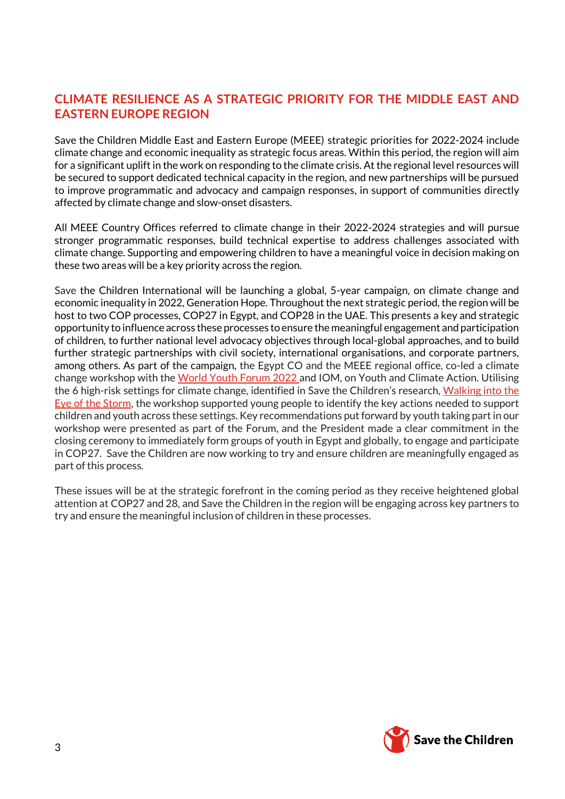## **CLIMATE RESILIENCE AS A STRATEGIC PRIORITY FOR THE MIDDLE EAST AND EASTERN EUROPE REGION**

Save the Children Middle East and Eastern Europe (MEEE) strategic priorities for 2022-2024 include climate change and economic inequality as strategic focus areas. Within this period, the region will aim for a significant uplift in the work on responding to the climate crisis. At the regional level resources will be secured to support dedicated technical capacity in the region, and new partnerships will be pursued to improve programmatic and advocacy and campaign responses, in support of communities directly affected by climate change and slow-onset disasters.

All MEEE Country Offices referred to climate change in their 2022-2024 strategies and will pursue stronger programmatic responses, build technical expertise to address challenges associated with climate change. Supporting and empowering children to have a meaningful voice in decision making on these two areas will be a key priority across the region.

Save the Children International will be launching a global, 5-year campaign, on climate change and economic inequality in 2022, Generation Hope. Throughout the next strategic period, the region will be host to two COP processes, COP27 in Egypt, and COP28 in the UAE. This presents a key and strategic opportunity to influence across these processes to ensure the meaningful engagement and participation of children, to further national level advocacy objectives through local-global approaches, and to build further strategic partnerships with civil society, international organisations, and corporate partners, among others. As part of the campaign, the Egypt CO and the MEEE regional office, co-led a climate change workshop with the [World Youth Forum](https://wyfegypt.com/) 2022 and IOM, on Youth and Climate Action. Utilising the 6 high-risk settings for climate change, identified in Save the Children's research, [Walking into the](https://resourcecentre.savethechildren.net/pdf/Eye-of-the-Storm.pdf)  [Eye of the Storm,](https://resourcecentre.savethechildren.net/pdf/Eye-of-the-Storm.pdf) the workshop supported young people to identify the key actions needed to support children and youth across these settings. Key recommendations put forward by youth taking part in our workshop were presented as part of the Forum, and the President made a clear commitment in the closing ceremony to immediately form groups of youth in Egypt and globally, to engage and participate in COP27. Save the Children are now working to try and ensure children are meaningfully engaged as part of this process.

These issues will be at the strategic forefront in the coming period as they receive heightened global attention at COP27 and 28, and Save the Children in the region will be engaging across key partners to try and ensure the meaningful inclusion of children in these processes.

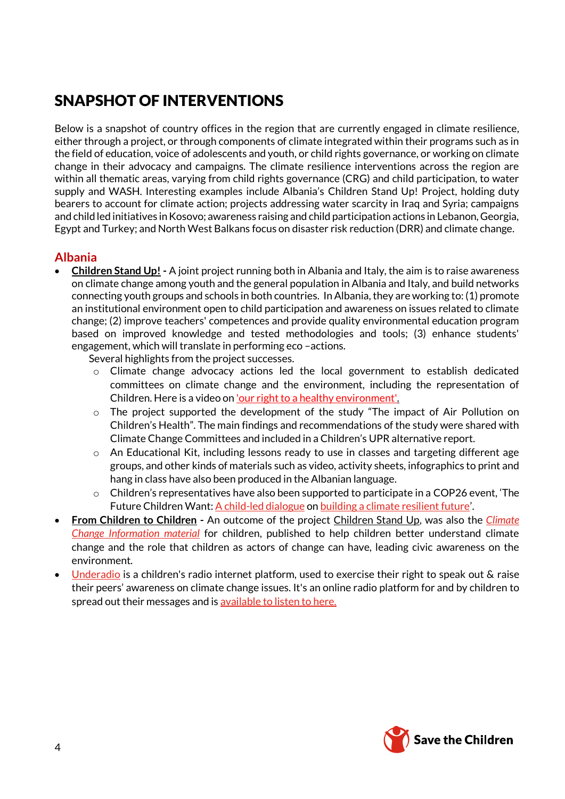# SNAPSHOT OF INTERVENTIONS

Below is a snapshot of country offices in the region that are currently engaged in climate resilience, either through a project, or through components of climate integrated within their programs such as in the field of education, voice of adolescents and youth, or child rights governance, or working on climate change in their advocacy and campaigns. The climate resilience interventions across the region are within all thematic areas, varying from child rights governance (CRG) and child participation, to water supply and WASH. Interesting examples include Albania's Children Stand Up! Project, holding duty bearers to account for climate action; projects addressing water scarcity in Iraq and Syria; campaigns and child led initiatives in Kosovo; awareness raising and child participation actions in Lebanon, Georgia, Egypt and Turkey; and North West Balkans focus on disaster risk reduction (DRR) and climate change.

## **Albania**

• **Children Stand Up! -** A joint project running both in Albania and Italy, the aim is to raise awareness on climate change among youth and the general population in Albania and Italy, and build networks connecting youth groups and schools in both countries. In Albania, they are working to: (1) promote an institutional environment open to child participation and awareness on issues related to climate change; (2) improve teachers' competences and provide quality environmental education program based on improved knowledge and tested methodologies and tools; (3) enhance students' engagement, which will translate in performing eco –actions.

Several highlights from the project successes.

- o Climate change advocacy actions led the local government to establish dedicated committees on climate change and the environment, including the representation of Children. Here is a video on ['our right to a healthy environment'.](https://www.youtube.com/watch?v=S-j-9zvN8zI)
- $\circ$  The project supported the development of the study "The impact of Air Pollution on Children's Health". The main findings and recommendations of the study were shared with Climate Change Committees and included in a Children's UPR alternative report.
- $\circ$  An Educational Kit, including lessons ready to use in classes and targeting different age groups, and other kinds of materials such as video, activity sheets, infographics to print and hang in class have also been produced in the Albanian language.
- o Children's representatives have also been supported to participate in a [COP26](https://mobile.twitter.com/hashtag/COP26?src=hashtag_click) event, 'The Future Children Want[: A child-led dialogue](https://bit.ly/3BaqPaj) o[n building a climate resilient future](https://bit.ly/3w7aHFC)'.
- **From Children to Children -** An outcome of the project Children Stand Up, was also the *[Climate](https://albania.savethechildren.net/sites/albania.savethechildren.net/files/library/Material%20informues%20per%20ndryshimet%20klimaterike.pdf)  [Change Information material](https://albania.savethechildren.net/sites/albania.savethechildren.net/files/library/Material%20informues%20per%20ndryshimet%20klimaterike.pdf)* for children, published to help children better understand climate change and the role that children as actors of change can have, leading civic awareness on the environment.
- [Underadio](https://mobile.twitter.com/hashtag/Underadio?src=hashtag_click) is a children's radio internet platform, used to exercise their right to speak out & raise their peers' awareness on climate change issues. It's an online radio platform for and by children to spread out their messages and i[s available to listen to here.](https://mixcloud.com/underadioalbania/…)

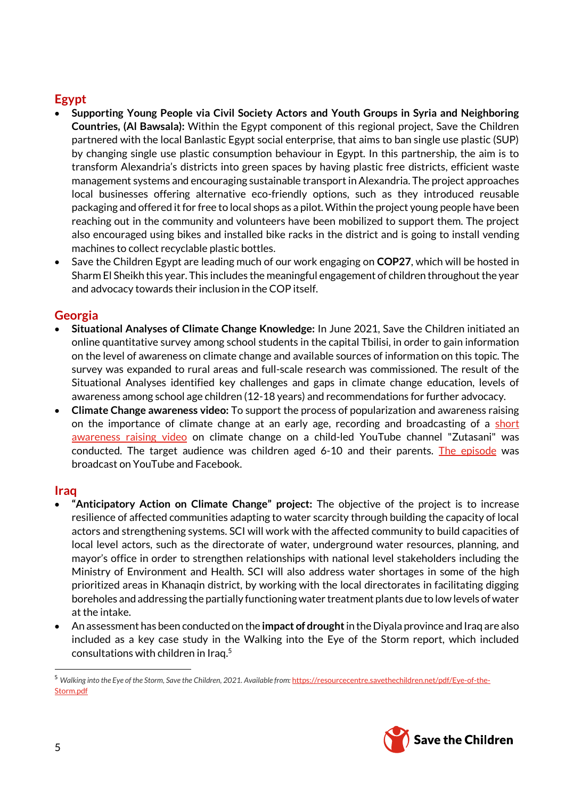## **Egypt**

- **[Supporting Young People via Civil Society Actors and Youth Groups in Syria and Neighboring](https://ams.savethechildren.net/awards/details/18061)  [Countries,](https://ams.savethechildren.net/awards/details/18061) (Al Bawsala):** Within the Egypt component of this regional project, Save the Children partnered with the local Banlastic Egypt social enterprise, that aims to ban single use plastic (SUP) by changing single use plastic consumption behaviour in Egypt. In this partnership, the aim is to transform Alexandria's districts into green spaces by having plastic free districts, efficient waste management systems and encouraging sustainable transport in Alexandria. The project approaches local businesses offering alternative eco-friendly options, such as they introduced reusable packaging and offered it for free to local shops as a pilot. Within the project young people have been reaching out in the community and volunteers have been mobilized to support them. The project also encouraged using bikes and installed bike racks in the district and is going to install vending machines to collect recyclable plastic bottles.
- Save the Children Egypt are leading much of our work engaging on **COP27**, which will be hosted in Sharm El Sheikh this year. This includes the meaningful engagement of children throughout the year and advocacy towards their inclusion in the COP itself.

## **Georgia**

- **Situational Analyses of Climate Change Knowledge:** In June 2021, Save the Children initiated an online quantitative [survey](https://forms.gle/yizErWjSWZcj8K53A) among school students in the capital Tbilisi, in order to gain information on the level of awareness on climate change and available sources of information on this topic. The survey was expanded to rural areas and full-scale research was commissioned. The result of the Situational Analyses identified key challenges and gaps in climate change education, levels of awareness among school age children (12-18 years) and recommendations for further advocacy.
- **Climate Change awareness video:** To support the process of popularization and awareness raising on the importance of climate change at an early age, recording and broadcasting of a short [awareness raising video](https://www.youtube.com/watch?app=desktop&v=XWie_a_SYpU&feature=youtu.be&fbclid=IwAR1nFE8fE5wCQEQvd2RzWywPLOtQBx5CbJcjcJR8YsT8MA_9dNo1nZbxRwo) on climate change on a child-led YouTube channel "Zutasani" was conducted. The target audience was children aged 6-10 and their parents. [The episode](https://www.youtube.com/watch?app=desktop&v=XWie_a_SYpU&feature=youtu.be&fbclid=IwAR1nFE8fE5wCQEQvd2RzWywPLOtQBx5CbJcjcJR8YsT8MA_9dNo1nZbxRwo) was broadcast on YouTube and Facebook.

## **Iraq**

- **"Anticipatory Action on Climate Change" project:** The objective of the project is to increase resilience of affected communities adapting to water scarcity through building the capacity of local actors and strengthening systems. SCI will work with the affected community to build capacities of local level actors, such as the directorate of water, underground water resources, planning, and mayor's office in order to strengthen relationships with national level stakeholders including the Ministry of Environment and Health. SCI will also address water shortages in some of the high prioritized areas in Khanaqin district, by working with the local directorates in facilitating digging boreholes and addressing the partially functioning water treatment plants due to low levels of water at the intake.
- An assessment has been conducted on the **impact of drought**in the Diyala province and Iraq are also included as a key case study in the Walking into the Eye of the Storm report, which included consultations with children in Iraq. 5

<sup>&</sup>lt;sup>5</sup> Walking into the Eye of the Storm, Save the Children, 2021. Available from: [https://resourcecentre.savethechildren.net/pdf/Eye-of-the-](https://resourcecentre.savethechildren.net/pdf/Eye-of-the-Storm.pdf)[Storm.pdf](https://resourcecentre.savethechildren.net/pdf/Eye-of-the-Storm.pdf)



 $\overline{\phantom{0}}$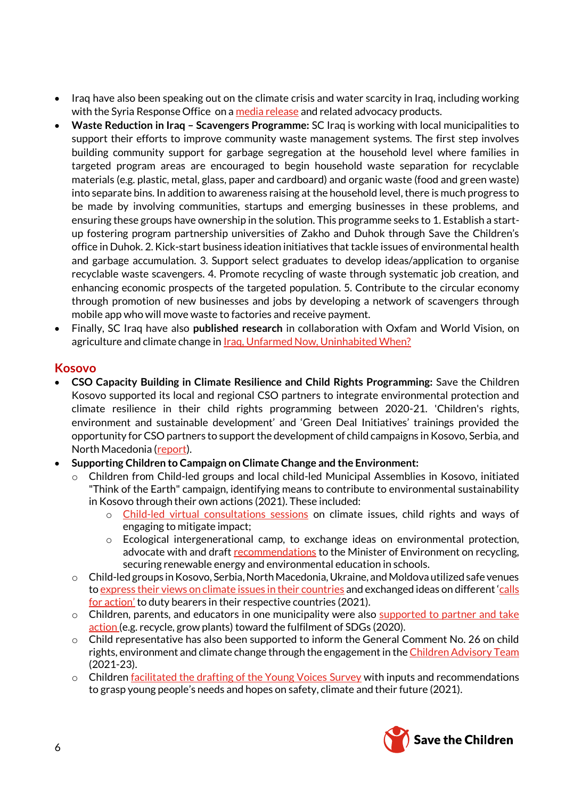- Iraq have also been speaking out on the climate crisis and water scarcity in Iraq, including working with the Syria Response Office on [a media release](https://www.savethechildren.net/news/weeks-ahead-cop26-water-crisis-iraq-and-north-east-syria-%E2%80%98creeping-every-corner-children%E2%80%99s) and related advocacy products.
- **Waste Reduction in Iraq – Scavengers Programme:** SC Iraq is working with local municipalities to support their efforts to improve community waste management systems. The first step involves building community support for garbage segregation at the household level where families in targeted program areas are encouraged to begin household waste separation for recyclable materials (e.g. plastic, metal, glass, paper and cardboard) and organic waste (food and green waste) into separate bins. In addition to awareness raising at the household level, there is much progress to be made by involving communities, startups and emerging businesses in these problems, and ensuring these groups have ownership in the solution. This programme seeks to 1. Establish a startup fostering program partnership universities of Zakho and Duhok through Save the Children's office in Duhok. 2. Kick-start business ideation initiatives that tackle issues of environmental health and garbage accumulation. 3. Support select graduates to develop ideas/application to organise recyclable waste scavengers. 4. Promote recycling of waste through systematic job creation, and enhancing economic prospects of the targeted population. 5. Contribute to the circular economy through promotion of new businesses and jobs by developing a network of scavengers through mobile app who will move waste to factories and receive payment.
- Finally, SC Iraq have also **published research** in collaboration with Oxfam and World Vision, on agriculture and climate change in **Iraq, Unfarmed Now, Uninhabited When?**

#### **Kosovo**

- **CSO Capacity Building in Climate Resilience and Child Rights Programming:** Save the Children Kosovo supported its local and regional CSO partners to integrate environmental protection and climate resilience in their child rights programming between 2020-21. 'Children's rights, environment and sustainable development' and 'Green Deal Initiatives' trainings provided the opportunity for CSO partners to support the development of child campaigns in Kosovo, Serbia, and North Macedonia [\(report\)](https://docs.google.com/document/d/10LEaapoe6OwA1Xtg6urXYwePfVmYVLuwb09s01IrM5Q/edit?invite=CIqKgdYB).
- **Supporting Children to Campaign on Climate Change and the Environment:**
	- $\circ$  Children from Child-led groups and local child-led Municipal Assemblies in Kosovo, initiated "Think of the Earth" campaign, identifying means to contribute to environmental sustainability in Kosovo through their own actions (2021). These included:
		- o [Child-led virtual consultations sessions](https://www.facebook.com/permalink.php?story_fbid=4409081919116632&id=873015802723279) on climate issues, child rights and ways of engaging to mitigate impact;
		- Ecological intergenerational camp, to exchange ideas on environmental protection, advocate with and draft [recommendations](https://kosovo.savethechildren.net/sites/kosovo.savethechildren.net/files/library/Child-led%20Ecological%20Camp%20%27Think%20of%20a%20Better%20Earth%20for%20Children%27.pdf) to the Minister of Environment on recycling, securing renewable energy and environmental education in schools.
	- $\circ$  Child-led groups in Kosovo, Serbia, North Macedonia, Ukraine, and Moldova utilized safe venues t[o express their views on climate issues in their countries](https://www.facebook.com/savethechildrenkosovo/posts/4617415705043079) and exchanged ideas on different 'calls [for action'](https://www.facebook.com/savethechildrenkosovo/posts/4627060807411902) to duty bearers in their respective countries (2021).
	- $\circ$  Children, parents, and educators in one municipality were also supported to partner and take [action](https://kosovo.savethechildren.net/news/partnership-sustainable-development-goals-primary-school-%E2%80%98%E2%80%98tet%C3%AB-marsi%E2%80%99%E2%80%99-peja) (e.g. recycle, grow plants) toward the fulfilment of SDGs (2020).
	- o Child representative has also been supported to inform the General Comment No. 26 on child rights, environment and climate change through the engagement in th[e Children Advisory Team](https://childrightsenvironment.org/consultation/) (2021-23).
	- $\circ$  Children <u>facilitated the drafting of the Young Voices Survey</u> with inputs and recommendations to grasp young people's needs and hopes on safety, climate and their future (2021).

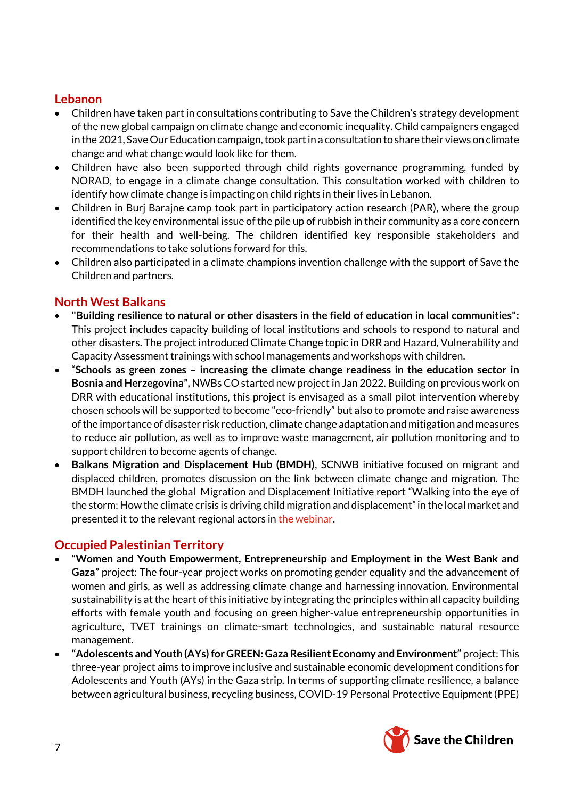## **Lebanon**

- Children have taken part in consultations contributing to Save the Children's strategy development of the new global campaign on climate change and economic inequality. Child campaigners engaged in the 2021, Save Our Education campaign, took part in a consultation to share their views on climate change and what change would look like for them.
- Children have also been supported through child rights governance programming, funded by NORAD, to engage in a climate change consultation. This consultation worked with children to identify how climate change is impacting on child rights in their lives in Lebanon.
- Children in Burj Barajne camp took part in participatory action research (PAR), where the group identified the key environmental issue of the pile up of rubbish in their community as a core concern for their health and well-being. The children identified key responsible stakeholders and recommendations to take solutions forward for this.
- Children also participated in a climate champions invention challenge with the support of Save the Children and partners.

## **North West Balkans**

- **"Building resilience to natural or other disasters in the field of education in local communities":**  This project includes capacity building of local institutions and schools to respond to natural and other disasters. The project introduced Climate Change topic in DRR and Hazard, Vulnerability and Capacity Assessment trainings with school managements and workshops with children.
- "**Schools as green zones – increasing the climate change readiness in the education sector in Bosnia and Herzegovina",** NWBs CO started new project in Jan 2022. Building on previous work on DRR with educational institutions, this project is envisaged as a small pilot intervention whereby chosen schools will be supported to become "eco-friendly" but also to promote and raise awareness of the importance of disaster risk reduction, climate change adaptation and mitigation and measures to reduce air pollution, as well as to improve waste management, air pollution monitoring and to support children to become agents of change.
- **Balkans Migration and Displacement Hub (BMDH)**, SCNWB initiative focused on migrant and displaced children, promotes discussion on the link between climate change and migration. The BMDH launched the global Migration and Displacement Initiative report "Walking into the eye of the storm: How the climate crisis is driving child migration and displacement" in the local market and presented it to the relevant regional actors i[n the webinar.](https://childhub.org/sh/webinari-o-djecijoj-zastiti/vebinar-na-srpskom-deca-i-klimatske-promene-kako-da-podrzimo-decu-da-ostvare-svoje-pravo-na-zdravu-zivotnu-sredinu)

## **Occupied Palestinian Territory**

- **"Women and Youth Empowerment, Entrepreneurship and Employment in the West Bank and Gaza"** project: The four-year project works on promoting gender equality and the advancement of women and girls, as well as addressing climate change and harnessing innovation. Environmental sustainability is at the heart of this initiative by integrating the principles within all capacity building efforts with female youth and focusing on green higher-value entrepreneurship opportunities in agriculture, TVET trainings on climate-smart technologies, and sustainable natural resource management.
- **"Adolescents and Youth (AYs) for GREEN: Gaza Resilient Economy and Environment"** project: This three-year project aims to improve inclusive and sustainable economic development conditions for Adolescents and Youth (AYs) in the Gaza strip. In terms of supporting climate resilience, a balance between agricultural business, recycling business, COVID-19 Personal Protective Equipment (PPE)

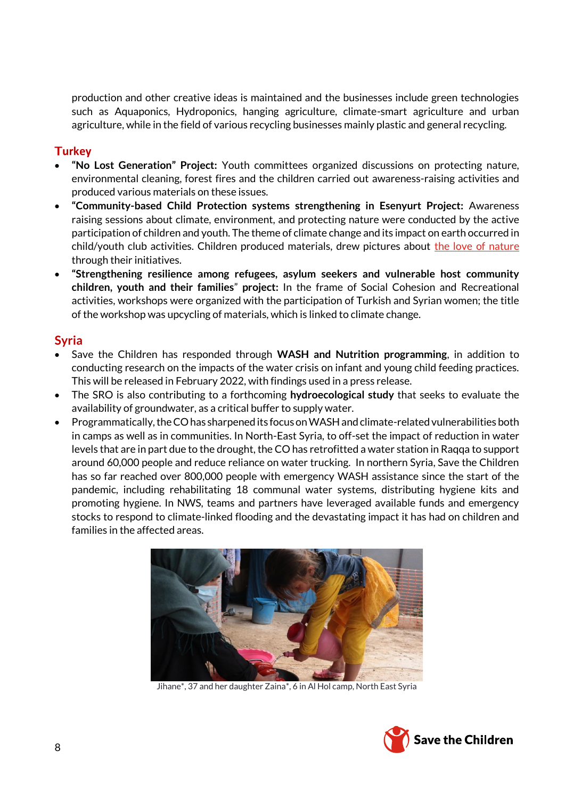production and other creative ideas is maintained and the businesses include green technologies such as Aquaponics, Hydroponics, hanging agriculture, climate-smart agriculture and urban agriculture, while in the field of various recycling businesses mainly plastic and general recycling.

#### **urkey**

- **"No Lost Generation" Project:** Youth committees organized discussions on protecting nature, environmental cleaning, forest fires and the children carried out awareness-raising activities and produced various materials on these issues.
- **"Community-based Child Protection systems strengthening in Esenyurt Project:** Awareness raising sessions about climate, environment, and protecting nature were conducted by the active participation of children and youth. The theme of climate change and its impact on earth occurred in child/youth club activities. Children produced materials, drew pictures about [the love of nature](https://www.youtube.com/watch?v=Z9SaIAHicJ4&t=17s) through their initiatives.
- **"Strengthening resilience among refugees, asylum seekers and vulnerable host community children, youth and their families**" **project:** In the frame of Social Cohesion and Recreational activities, workshops were organized with the participation of Turkish and Syrian women; the title of the workshop was upcycling of materials, which is linked to climate change.

### **Syria**

- Save the Children has responded through **WASH and Nutrition programming**, in addition to conducting research on the impacts of the water crisis on infant and young child feeding practices. This will be released in February 2022, with findings used in a press release.
- The SRO is also contributing to a forthcoming **hydroecological study** that seeks to evaluate the availability of groundwater, as a critical buffer to supply water.
- Programmatically, the CO has sharpened its focus on WASH and climate-related vulnerabilities both in camps as well as in communities. In North-East Syria, to off-set the impact of reduction in water levels that are in part due to the drought, the CO has retrofitted a water station in Raqqa to support around 60,000 people and reduce reliance on water trucking. In northern Syria, Save the Children has so far reached over 800,000 people with emergency WASH assistance since the start of the pandemic, including rehabilitating 18 communal water systems, distributing hygiene kits and promoting hygiene. In NWS, teams and partners have leveraged available funds and emergency stocks to respond to climate-linked flooding and the devastating impact it has had on children and families in the affected areas.



Jihane\*, 37 and her daughter Zaina\*, 6 in Al Hol camp, North East Syria